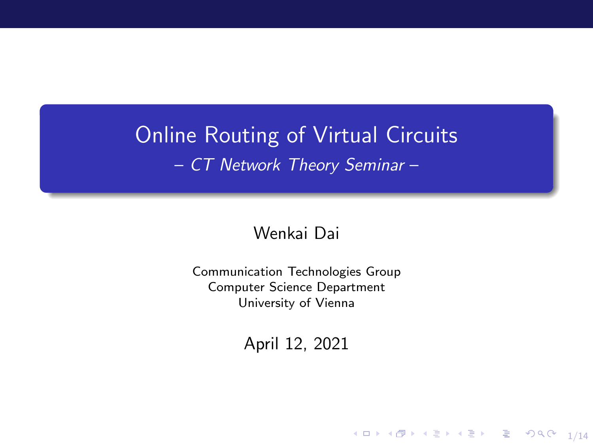## Online Routing of Virtual Circuits – CT Network Theory Seminar –

#### Wenkai Dai

Communication Technologies Group Computer Science Department University of Vienna

April 12, 2021

 $\begin{picture}(160,10) \put(0,0){\line(1,0){10}} \put(10,0){\line(1,0){10}} \put(10,0){\line(1,0){10}} \put(10,0){\line(1,0){10}} \put(10,0){\line(1,0){10}} \put(10,0){\line(1,0){10}} \put(10,0){\line(1,0){10}} \put(10,0){\line(1,0){10}} \put(10,0){\line(1,0){10}} \put(10,0){\line(1,0){10}} \put(10,0){\line(1,0){10}} \put(10,0){\line($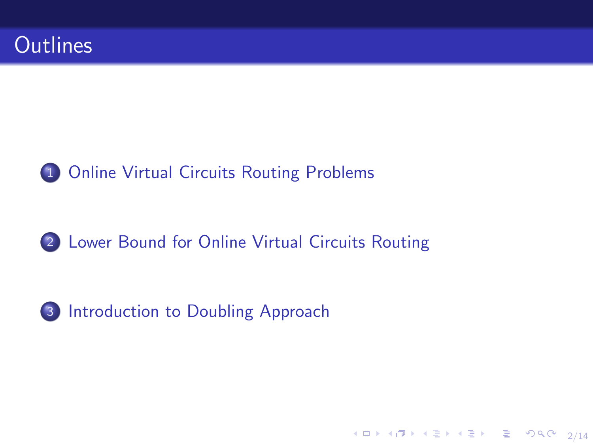<span id="page-1-0"></span>



#### 2 [Lower Bound for Online Virtual Circuits Routing](#page-11-0)

2/14



3 [Introduction to Doubling Approach](#page-14-0)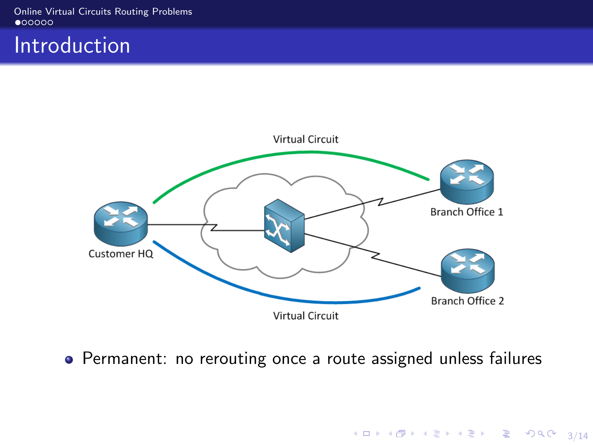<span id="page-2-0"></span>[Online Virtual Circuits Routing Problems](#page-2-0)<br>● 00000

### Introduction



Permanent: no rerouting once a route assigned unless failures

3/14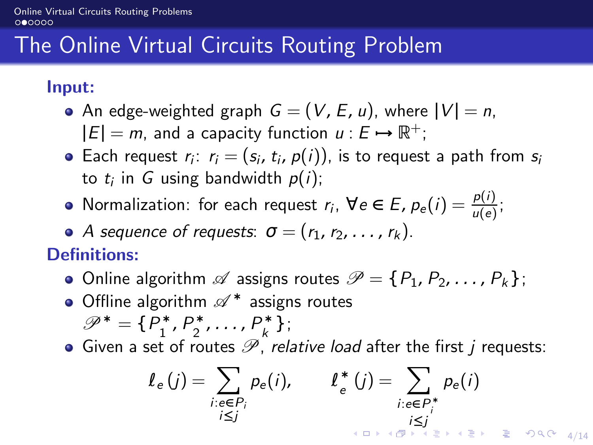# <span id="page-3-0"></span>The Online Virtual Circuits Routing Problem

Input:

- An edge-weighted graph  $G = (V, E, u)$ , where  $|V| = n$ .  $|E| = m$ , and a capacity function  $u : E \rightarrow \mathbb{R}^+$ ;
- Each request  $r_i$ :  $r_i = (s_i, t_i, p(i))$ , is to request a path from  $s_i$ to  $t_i$  in  $G$  using bandwidth  $p(i)$ ;
- Normalization: for each request  $r_i$ ,  $\forall e \in E$ ,  $p_e(i) = \frac{p(i)}{u(e)}$ ;
- A sequence of requests:  $\sigma = (r_1, r_2, \ldots, r_k)$ .

Definitions:

- Online algorithm  $\mathscr A$  assigns routes  $\mathscr P = \{P_1, P_2, \ldots, P_k\}$ ;
- Offline algorithm  $\mathscr{A}^*$  assigns routes  $\mathscr{P}^* = \{P_1^*$  $P_1^*$ ,  $P_2^*$  $P_k^*$ , ...,  $P_k^*$  ${}_{k}^{*}$  } ;
- $\bullet$  Given a set of routes  $\mathscr P$ , relative load after the first j requests:

$$
\ell_e(j) = \sum_{\substack{i: e \in P_i \\ i \leq j}} p_e(i), \qquad \ell_e^*(j) = \sum_{\substack{i: e \in P_i^* \\ i \leq j}} p_e(i)
$$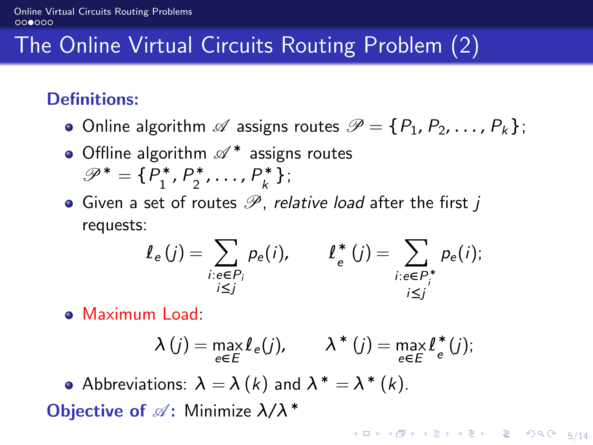# <span id="page-4-0"></span>The Online Virtual Circuits Routing Problem (2)

### Definitions:

- Online algorithm  $\mathscr A$  assigns routes  $\mathscr P = \{P_1, P_2, \ldots, P_k\}$ ;
- Offline algorithm  $\mathscr{A}^*$  assigns routes  $\mathscr{P}^* = \{P_1^*$  $P_1^*$ ,  $P_2^*$  $P_k^*$ , ...,  $P_k^*$  $_{k}^{\ast}$  } ;
- Given a set of routes  $\mathscr P$ , relative load after the first j requests:

$$
\ell_e(j) = \sum_{\substack{i:e \in P_i \\ i \leq j}} p_e(i), \qquad \ell_e^*(j) = \sum_{\substack{i:e \in P_i^* \\ i \leq j}} p_e(i);
$$

Maximum Load:

$$
\lambda(j) = \max_{e \in E} l_e(j), \qquad \lambda^*(j) = \max_{e \in E} l_e^*(j);
$$

Abbreviations:  $\lambda = \lambda (k)$  and  $\lambda^* = \lambda^* (k)$ .

**Objective of**  $\mathscr{A}$ : Minimize  $\lambda/\lambda^*$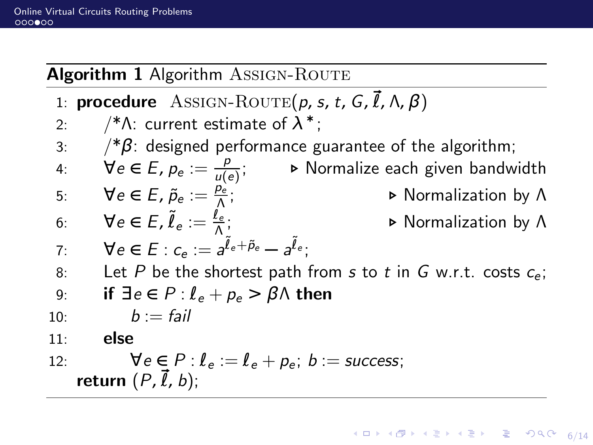#### Algorithm 1 Algorithm ASSIGN-ROUTE

- 1: **procedure** ASSIGN-ROUTE( $p, s, t, G, \vec{l}, \Lambda, \beta$ )
- 2:  $\gamma^*\Lambda$ : current estimate of  $\lambda^*$ ;
- 3:  $\frac{1}{8}$ : designed performance guarantee of the algorithm;
- 4:  $\forall e \in E, p_e := \frac{p}{\mu(e)}$ u(e) ; *.* Normalize each given bandwidth
- 5:  $\forall e \in E$ ,  $\tilde{p}_e := \frac{\rho_{\epsilon}^2}{\Lambda}$ Λ ; *.* Normalization by Λ 6:  $\forall e \in E, \tilde{\ell}_e := \frac{\tilde{\ell}_e}{\Lambda}$ 
	- ; *.* Normalization by Λ

7: 
$$
\forall e \in E; c_e := a^{\tilde{l}_e + \tilde{p}_e} - a^{\tilde{l}_e};
$$

8: Let P be the shortest path from s to t in G w.r.t. costs  $c_{\epsilon}$ ;

9: if 
$$
\exists e \in P : l_e + p_e > \beta \land
$$
 then

10:  $b := \text{fail}$ 

11: else

12: 
$$
\forall e \in P : l_e := l_e + p_e; b := \text{success};
$$
  
return  $(P, \vec{l}, b);$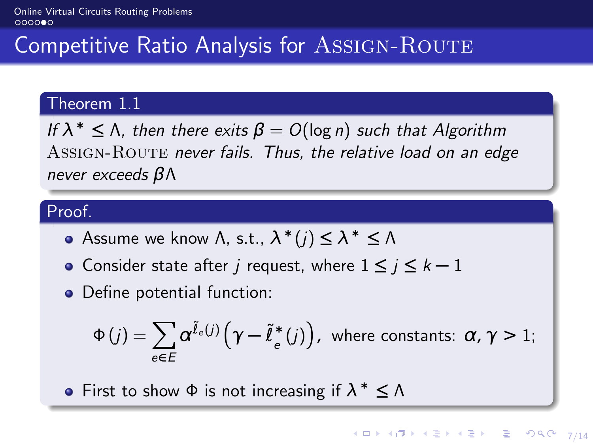## Competitive Ratio Analysis for ASSIGN-ROUTE

#### Theorem 1.1

If  $\lambda^* \leq \Lambda$ , then there exits  $\beta = O(\log n)$  such that Algorithm ASSIGN-ROUTE never fails. Thus, the relative load on an edge never exceeds βΛ

#### Proof.

- Assume we know  $\Lambda$ , s.t.,  $\lambda^*(j) \leq \lambda^* \leq \Lambda$
- Consider state after j request, where 1 **≤** j **≤** k **−** 1
- Define potential function:

$$
\Phi(j) = \sum_{e \in E} \alpha^{\tilde{\ell}_e(j)} \left( \gamma - \tilde{\ell}_e^*(j) \right), \text{ where constants: } \alpha, \gamma > 1;
$$

First to show Φ is not increasing if λ <sup>∗</sup> **≤** Λ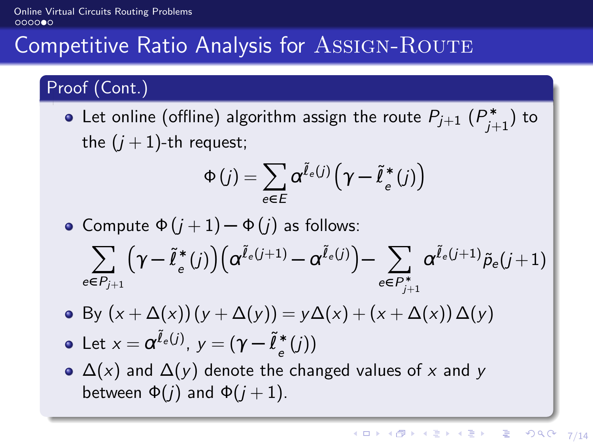### [Online Virtual Circuits Routing Problems](#page-2-0)<br>000000

### Competitive Ratio Analysis for ASSIGN-ROUTE

### Proof (Cont.)

Let online (offline) algorithm assign the route  $P_{j+1}$   $(P_{j+1}^*)$  to the  $(j + 1)$ -th request;

$$
\Phi(j) = \sum_{e \in E} \alpha^{\tilde{\ell}_e(j)} \left( \gamma - \tilde{\ell}_e^*(j) \right)
$$

• Compute  $\Phi(i+1) - \Phi(i)$  as follows:

$$
\sum_{e\in P_{j+1}}\!\Big(\gamma\!-\!\widetilde{\ell}_e^*\left(j\right)\!\Big)\!\Big(\alpha^{\widetilde{\ell}_e\left(j+1\right)}\!-\!\alpha^{\widetilde{\ell}_e\left(j\right)}\Big)\!-\!\sum_{e\in P_{j+1}^*}\alpha^{\widetilde{\ell}_e\left(j+1\right)}\tilde{\rho}_e\!\left(j+1\right)
$$

• By  $(x + Δ(x))(y + Δ(y)) = yΔ(x) + (x + Δ(x))Δ(y)$ 

• Let 
$$
x = \alpha^{\tilde{l}_e(j)}
$$
,  $y = (\gamma - \tilde{l}_e^*(j))$ 

 $\triangle$  (x) and  $\triangle$ (y) denote the changed values of x and y between  $\Phi(i)$  and  $\Phi(i+1)$ .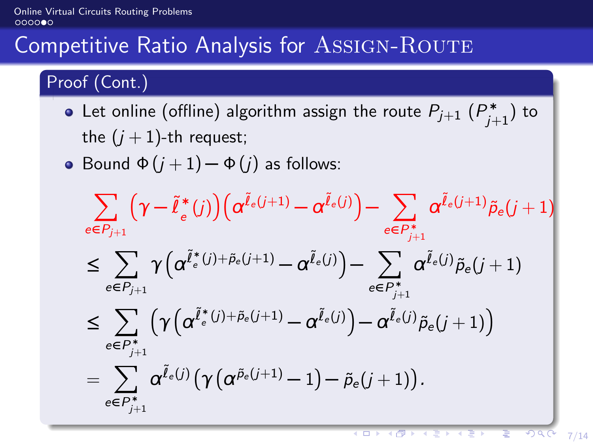### [Online Virtual Circuits Routing Problems](#page-2-0)<br>000000

## Competitive Ratio Analysis for ASSIGN-ROUTE

### Proof (Cont.)

- Let online (offline) algorithm assign the route  $P_{j+1}$   $(P_{j+1}^*)$  to the  $(j + 1)$ -th request;
- Bound  $\Phi(j+1) \Phi(j)$  as follows:

$$
\sum_{e \in P_{j+1}} \left(\gamma - \tilde{\ell}_e^*(j)\right) \left(\alpha^{\tilde{\ell}_e(j+1)} - \alpha^{\tilde{\ell}_e(j)}\right) - \sum_{e \in P_{j+1}^*} \alpha^{\tilde{\ell}_e(j+1)} \tilde{\rho}_e(j+1) \\
\leq \sum_{e \in P_{j+1}} \gamma \left(\alpha^{\tilde{\ell}_e^*(j) + \tilde{\rho}_e(j+1)} - \alpha^{\tilde{\ell}_e(j)}\right) - \sum_{e \in P_{j+1}^*} \alpha^{\tilde{\ell}_e(j)} \tilde{\rho}_e(j+1) \\
\leq \sum_{e \in P_{j+1}^*} \left(\gamma \left(\alpha^{\tilde{\ell}_e^*(j) + \tilde{\rho}_e(j+1)} - \alpha^{\tilde{\ell}_e(j)}\right) - \alpha^{\tilde{\ell}_e(j)} \tilde{\rho}_e(j+1)\right) \\
= \sum_{e \in P_{j+1}^*} \alpha^{\tilde{\ell}_e(j)} \left(\gamma \left(\alpha^{\tilde{\rho}_e(j+1)} - 1\right) - \tilde{\rho}_e(j+1)\right).
$$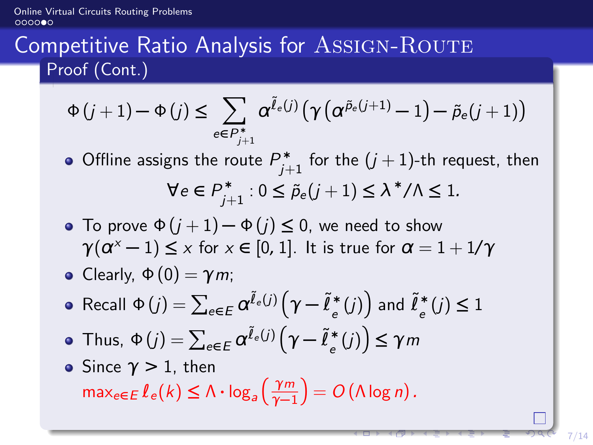[Online Virtual Circuits Routing Problems](#page-2-0)  $0000$ 

## Competitive Ratio Analysis for ASSIGN-ROUTE Proof (Cont.)

$$
\Phi(j+1) - \Phi(j) \le \sum_{e \in P_{j+1}^*} \alpha^{\tilde{\ell}_e(j)} \left( \gamma \left( \alpha^{\tilde{p}_e(j+1)} - 1 \right) - \tilde{p}_e(j+1) \right)
$$

- Offline assigns the route  $P_{j+1}^*$  for the  $(j+1)$ -th request, then  $\forall e \in P_{j+1}^* : 0 \le \tilde{p}_e(j+1) \le \lambda^* / \lambda \le 1.$
- To prove  $\Phi(i+1) \Phi(j) \leq 0$ , we need to show  $\gamma(\alpha^x-1) \le x$  for  $x \in [0,1]$ . It is true for  $\alpha = 1 + 1/\gamma$

• Clearly, 
$$
\Phi(0) = \gamma m
$$
;

- $\textsf{Recall}~\Phi\left(j\right)=\sum_{e\in E}\alpha^{\tilde{\ell}_{e}\left(j\right)}\Bigl(\gamma-\tilde{\ell}_{e}^{*}\Bigr)$  $\binom{*}{e}(j)$  and  $\tilde{\ell}^*_{e}$  $(e^*(j) ≤ 1)$
- $\textsf{Thus, } Φ(j) = \sum_{e \in E} \pmb{\alpha}^{\tilde{\ell}_e(j)} \Big(\pmb{\gamma} \tilde{\ell}_e^*$  $\binom{*}{e}(j)$   $\leq \gamma m$
- Since  $\gamma > 1$ , then  $\max_{e \in E} l_e(k) \leq \Lambda \cdot \log_a \left( \frac{\gamma m}{\gamma - 1} \right)$  $\left(\frac{\gamma_m}{\gamma-1}\right) = O\left(\Lambda\log n\right).$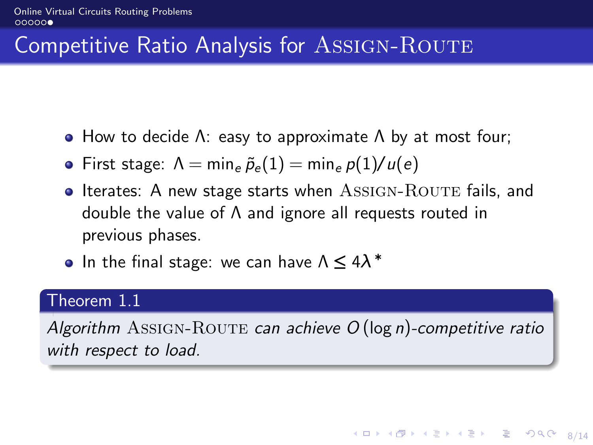## Competitive Ratio Analysis for ASSIGN-ROUTE

- How to decide  $Λ$ : easy to approximate  $Λ$  by at most four;
- First stage:  $\Lambda = \min_e \tilde{p}_e(1) = \min_e p(1)/u(e)$
- $\bullet$  Iterates: A new stage starts when  $\Lambda$ SSIGN-ROUTE fails, and double the value of Λ and ignore all requests routed in previous phases.
- In the final stage: we can have Λ **≤** 4λ ∗

#### Theorem 1.1

Algorithm ASSIGN-ROUTE can achieve  $O(\log n)$ -competitive ratio with respect to load.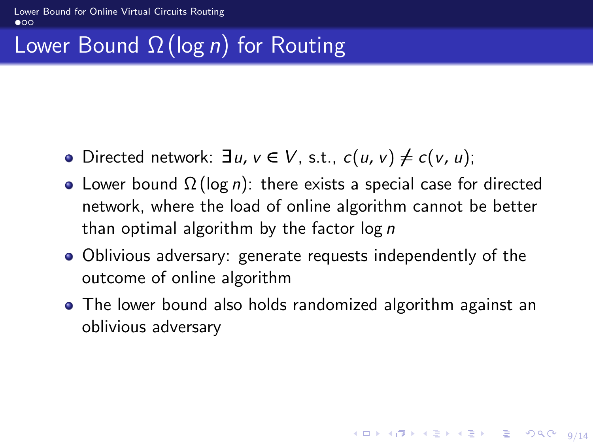# <span id="page-11-0"></span>Lower Bound  $\Omega$  (log *n*) for Routing

- **•** Directed network:  $\exists u, v \in V$ , s.t.,  $c(u, v) \neq c(v, u)$ ;
- Lower bound  $\Omega(\log n)$ : there exists a special case for directed network, where the load of online algorithm cannot be better than optimal algorithm by the factor  $log n$
- Oblivious adversary: generate requests independently of the outcome of online algorithm
- The lower bound also holds randomized algorithm against an oblivious adversary

9/14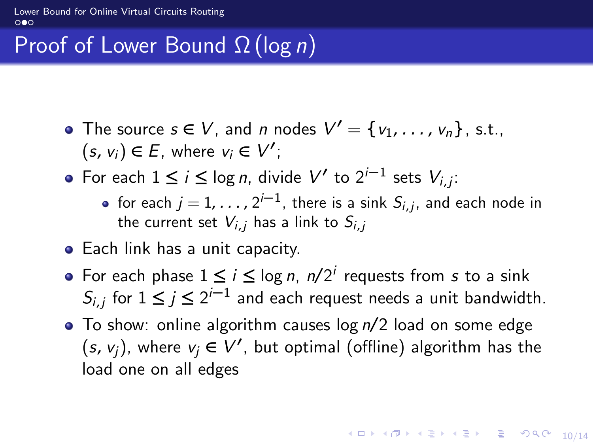# Proof of Lower Bound  $\Omega$  (log *n*)

- The source  $s \in V$ , and *n* nodes  $V' = \{v_1, \ldots, v_n\}$ , s.t.,  $(s, v_i)$  ∈ E, where  $v_i$  ∈  $V'$ ;
- For each  $1 \le i \le \log n$ , divide  $V'$  to  $2^{i-1}$  sets  $V_{i,j}$ :
	- for each  $j=1,\ldots$  ,  $2^{j-1}$ , there is a sink  $S_{i,j},$  and each node in the current set  $V_i$ ; has a link to  $S_i$ ;
- Each link has a unit capacity.
- For each phase  $1 \le i \le \log n$ ,  $n/2^i$  requests from s to a sink  $S_{i,j}$  for  $1 \leq j \leq 2^{i-1}$  and each request needs a unit bandwidth.
- $\bullet$  To show: online algorithm causes log  $n/2$  load on some edge  $(s, v_j)$ , where  $v_j \in V'$ , but optimal (offline) algorithm has the load one on all edges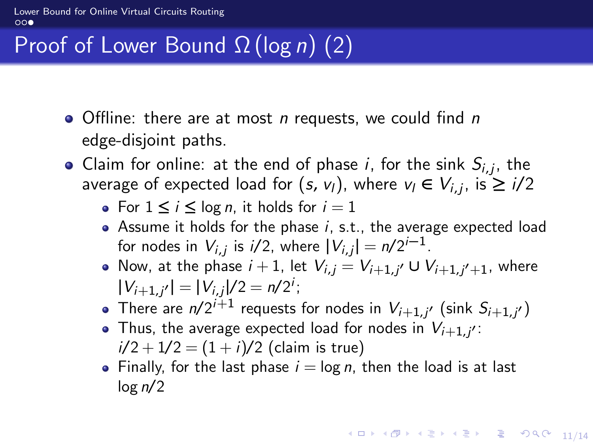[Lower Bound for Online Virtual Circuits Routing](#page-11-0)  $\circ \circ \bullet$ 

# Proof of Lower Bound  $\Omega$  (log n) (2)

- $\bullet$  Offline: there are at most n requests, we could find n edge-disjoint paths.
- Claim for online: at the end of phase i, for the sink  $S_{i,j}$ , the average of expected load for  $(s, v_1)$ , where  $v_1 \in V_{i,j}$ , is  $\geq i/2$ 
	- For  $1 \leq i \leq \log n$ , it holds for  $i = 1$
	- Assume it holds for the phase  $i$ , s.t., the average expected load for nodes in  $V_{i,j}$  is  $i/2$ , where  $|V_{i,j}| = n/2^{i-1}$ .
	- Now, at the phase  $i + 1$ , let  $V_{i,j} = V_{i+1,j'} \cup V_{i+1,j'+1}$ , where  $|V_{i+1,j'}| = |V_{i,j}|/2 = n/2^i;$
	- There are  $n/2^{i+1}$  requests for nodes in  $V_{i+1,j'}$  (sink  $S_{i+1,j'}$ )
	- Thus, the average expected load for nodes in  $V_{i+1,j'}$ :  $i/2 + 1/2 = (1 + i)/2$  (claim is true)
	- Finally, for the last phase  $i = \log n$ , then the load is at last  $log n/2$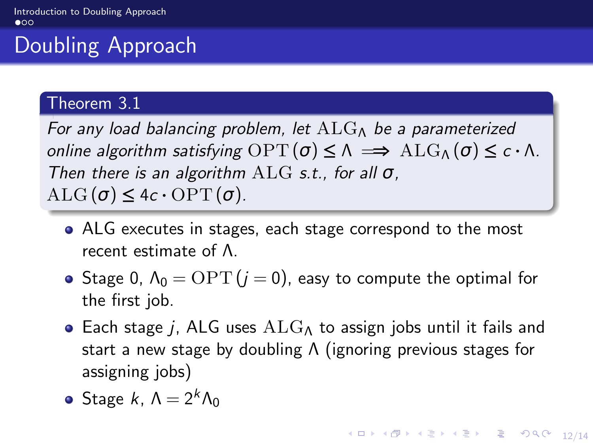# <span id="page-14-0"></span>Doubling Approach

#### Theorem 3.1

For any load balancing problem, let  $ALG_{\Lambda}$  be a parameterized online algorithm satisfying  $OPT(σ) ≤ Λ ⇒ ΛLG<sub>Λ</sub>(σ) ≤ c ⋅ Λ$ . Then there is an algorithm  $ALG$  s.t., for all  $\sigma$ ,  $ALG(\sigma) \leq 4c \cdot OPT(\sigma)$ .

- ALG executes in stages, each stage correspond to the most recent estimate of Λ.
- Stage 0,  $\Lambda_0 = \text{OPT}(i = 0)$ , easy to compute the optimal for the first job.
- Each stage j, ALG uses  $\text{ALG}_{\Lambda}$  to assign jobs until it fails and start a new stage by doubling Λ (ignoring previous stages for assigning jobs)
- Stage k,  $\Lambda = 2^k \Lambda_0$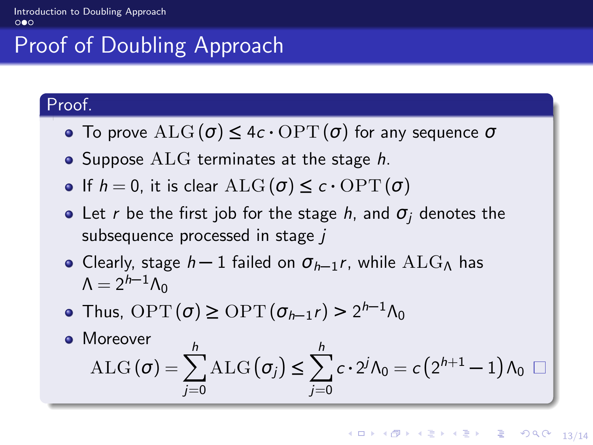# Proof of Doubling Approach

#### Proof.

- **•** To prove  $\text{ALG}(\sigma) \leq 4c \cdot \text{OPT}(\sigma)$  for any sequence  $\sigma$
- Suppose  $ALG$  terminates at the stage  $h$ .
- **•** If  $h = 0$ , it is clear  $\text{ALG}(\sigma) \leq c \cdot \text{OPT}(\sigma)$
- Let r be the first job for the stage h, and  $\sigma_i$  denotes the subsequence processed in stage j
- **•** Clearly, stage *h* − 1 failed on  $\sigma_{h-1}r$ , while ALG<sub>Λ</sub> has  $Λ = 2<sup>h-1</sup>Λ<sub>0</sub>$
- Thus,  $\text{OPT}(\sigma) \ge \text{OPT}(\sigma_{h-1}r) > 2^{h-1}\Lambda_0$
- Moreover ALG  $(\sigma) = \sum_{n=1}^{h}$  $j=0$  $\text{ALG}(\sigma_j) \leq \sum_{i=1}^{h}$  $j=0$  $c\cdot 2^j\Lambda_0=c\left(2^{h+1}-1\right)\Lambda_0$